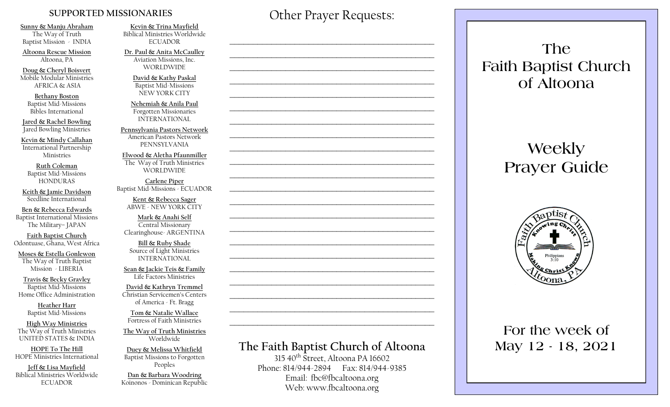#### **SUPPORTED MISSIONARIES**

**Sunny & Manju Abraham**  The Way of Truth Baptist Mission - INDIA

**Altoona Rescue Mission** Altoona, PA

**Doug & Cheryl Boisvert** Mobile Modular Ministries AFRICA & ASIA

**Bethany Boston** Baptist Mid-Missions Bibles International

**Jared & Rachel Bowling** Jared Bowling Ministries

**Kevin & Mindy Callahan** International Partnership Ministries

**Ruth Coleman** Baptist Mid-Missions HONDURAS

**Keith & Jamie Davidson** Seedline International

**Ben & Rebecca Edwards** Baptist International Missions The Military– JAPAN

**Faith Baptist Church** Odontuase, Ghana, West Africa

**Moses & Estella Gonlewon** The Way of Truth Baptist Mission - LIBERIA

**Travis & Becky Gravley**  Baptist Mid-Missions Home Office Administration

> **Heather Harr** Baptist Mid-Missions

**High Way Ministries** The Way of Truth Ministries UNITED STATES & INDIA

**HOPE To The Hill** HOPE Ministries International

**Jeff & Lisa Mayfield** Biblical Ministries Worldwide **ECUADOR** 

**Kevin & Trina Mayfield** Biblical Ministries Worldwide ECUADOR

**Dr. Paul & Anita McCaulley** Aviation Missions, Inc. WORLDWIDE

> **David & Kathy Paskal** Baptist Mid-Missions NEW YORK CITY

**Nehemiah & Anila Paul** Forgotten Missionaries INTERNATIONAL

**Pennsylvania Pastors Network** American Pastors Network PENNSYLVANIA

**Elwood & Aletha Pfaunmiller** The Way of Truth Ministries WORLDWIDE

**Carlene Piper** Baptist Mid-Missions - ECUADOR

> **Kent & Rebecca Sager** ABWE - NEW YORK CITY

**Mark & Anahi Self** Central Missionary Clearinghouse- ARGENTINA

**Bill & Ruby Shade** Source of Light Ministries INTERNATIONAL

**Sean & Jackie Teis & Family** Life Factors Ministries

**David & Kathryn Tremmel**  Christian Servicemen's Centers of America - Ft. Bragg

**Tom & Natalie Wallace** Fortress of Faith Ministries

**The Way of Truth Ministries**  Worldwide

**Duey & Melissa Whitfield** Baptist Missions to Forgotten Peoples

**Dan & Barbara Woodring**  Koinonos - Dominican Republic Other Prayer Requests:

 $\mathcal{L}_\text{max}$  and  $\mathcal{L}_\text{max}$  and  $\mathcal{L}_\text{max}$  and  $\mathcal{L}_\text{max}$  and  $\mathcal{L}_\text{max}$ 

 $\mathcal{L}_\text{max}$  , and the contract of the contract of the contract of the contract of the contract of the contract of the contract of the contract of the contract of the contract of the contract of the contract of the contr

 $\mathcal{L}_\text{max}$  and  $\mathcal{L}_\text{max}$  and  $\mathcal{L}_\text{max}$  and  $\mathcal{L}_\text{max}$  and  $\mathcal{L}_\text{max}$ 

 $\mathcal{L}_\text{max}$  and  $\mathcal{L}_\text{max}$  and  $\mathcal{L}_\text{max}$  and  $\mathcal{L}_\text{max}$  and  $\mathcal{L}_\text{max}$ 

 $\mathcal{L}_\text{max}$  , and the contract of the contract of the contract of the contract of the contract of the contract of the contract of the contract of the contract of the contract of the contract of the contract of the contr

# **The Faith Baptist Church of Altoona**   $315\,40^{th}$  Street, Altoona PA 16602  $\mathcal{L}_\text{max}$  , and the contract of the contract of the contract of the contract of the contract of the contract of the contract of the contract of the contract of the contract of the contract of the contract of the contr  $\mathcal{L}_\text{max}$  , and the contract of the contract of the contract of the contract of the contract of the contract of the contract of the contract of the contract of the contract of the contract of the contract of the contr  $\mathcal{L}_\text{max}$  and  $\mathcal{L}_\text{max}$  and  $\mathcal{L}_\text{max}$  and  $\mathcal{L}_\text{max}$  and  $\mathcal{L}_\text{max}$  $\mathcal{L}_\text{max}$  , and the contract of the contract of the contract of the contract of the contract of the contract of the contract of the contract of the contract of the contract of the contract of the contract of the contr  $\mathcal{L}_\text{max}$  , and the contract of the contract of the contract of the contract of the contract of the contract of the contract of the contract of the contract of the contract of the contract of the contract of the contr  $\mathcal{L}_\text{max}$  , and the contract of the contract of the contract of the contract of the contract of the contract of the contract of the contract of the contract of the contract of the contract of the contract of the contr  $\mathcal{L}_\text{max}$  , and the contract of the contract of the contract of the contract of the contract of the contract of the contract of the contract of the contract of the contract of the contract of the contract of the contr  $\mathcal{L}_\text{max}$  and  $\mathcal{L}_\text{max}$  and  $\mathcal{L}_\text{max}$  and  $\mathcal{L}_\text{max}$  and  $\mathcal{L}_\text{max}$  $\mathcal{L}_\text{max}$  , and the contract of the contract of the contract of the contract of the contract of the contract of the contract of the contract of the contract of the contract of the contract of the contract of the contr  $\mathcal{L}_\text{max}$  , and the contract of the contract of the contract of the contract of the contract of the contract of the contract of the contract of the contract of the contract of the contract of the contract of the contr

Phone: 814/944-2894 Fax: 814/944-9385 Email: fbc@fbcaltoona.org Web: www.fbcaltoona.org

**The Faith Baptist Church of Altoona** 

# **Weekly Prayer Guide**



# **For the week of May 12 - 18, 2021**